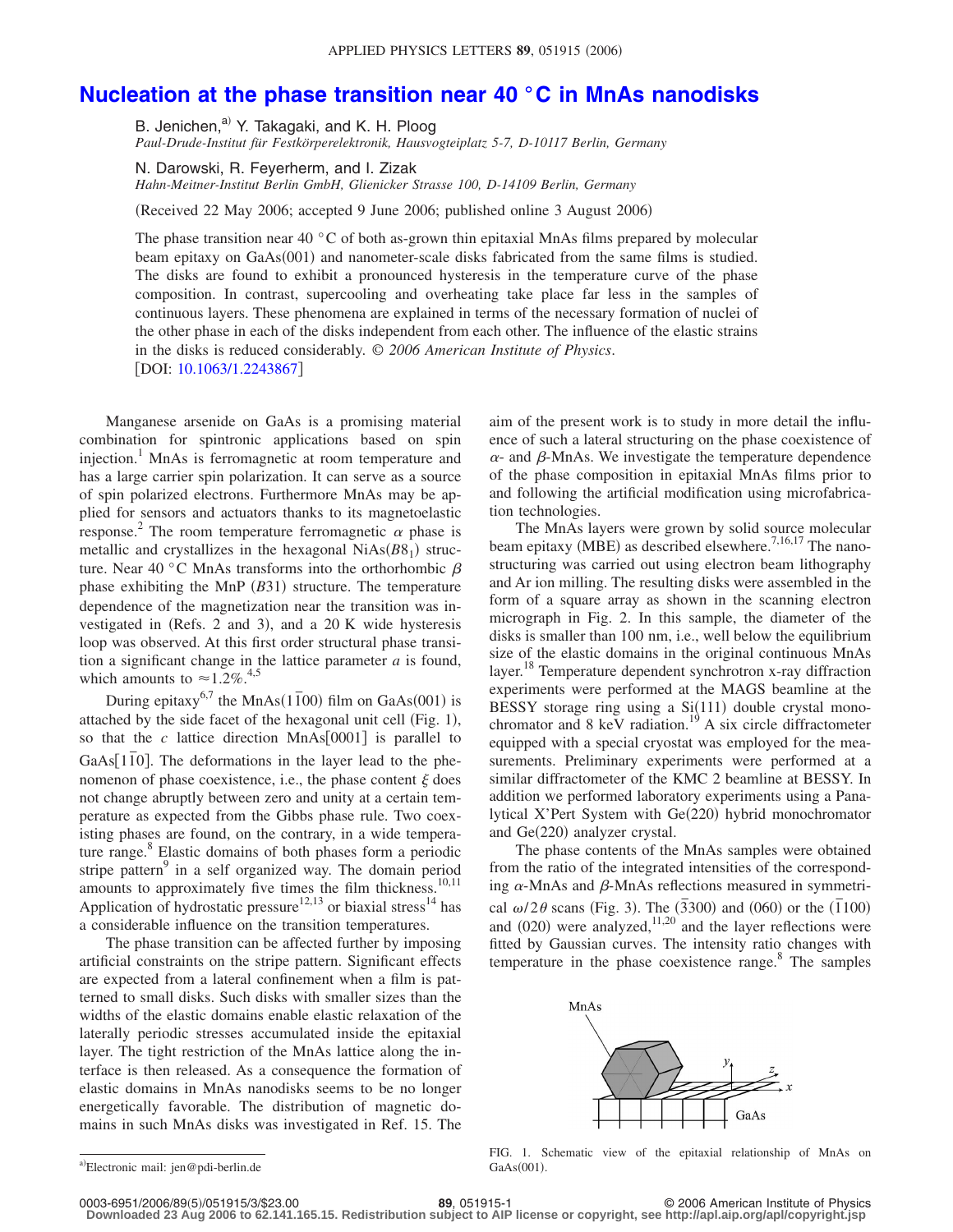## **[Nucleation at the phase transition near 40 °C in MnAs nanodisks](http://dx.doi.org/10.1063/1.2243867)**

B. Jenichen, $a^{(i)}$  Y. Takagaki, and K. H. Ploog *Paul-Drude-Institut für Festkörperelektronik, Hausvogteiplatz 5-7, D-10117 Berlin, Germany*

N. Darowski, R. Feyerherm, and I. Zizak

*Hahn-Meitner-Institut Berlin GmbH, Glienicker Strasse 100, D-14109 Berlin, Germany*

Received 22 May 2006; accepted 9 June 2006; published online 3 August 2006-

The phase transition near 40  $\degree$ C of both as-grown thin epitaxial MnAs films prepared by molecular beam epitaxy on GaAs(001) and nanometer-scale disks fabricated from the same films is studied. The disks are found to exhibit a pronounced hysteresis in the temperature curve of the phase composition. In contrast, supercooling and overheating take place far less in the samples of continuous layers. These phenomena are explained in terms of the necessary formation of nuclei of the other phase in each of the disks independent from each other. The influence of the elastic strains in the disks is reduced considerably. © *2006 American Institute of Physics*. DOI: [10.1063/1.2243867](http://dx.doi.org/10.1063/1.2243867)

Manganese arsenide on GaAs is a promising material combination for spintronic applications based on spin injection.<sup>1</sup> MnAs is ferromagnetic at room temperature and has a large carrier spin polarization. It can serve as a source of spin polarized electrons. Furthermore MnAs may be applied for sensors and actuators thanks to its magnetoelastic response.<sup>2</sup> The room temperature ferromagnetic  $\alpha$  phase is metallic and crystallizes in the hexagonal  $NiAs(B8<sub>1</sub>)$  structure. Near 40 °C MnAs transforms into the orthorhombic  $\beta$ phase exhibiting the MnP (B31) structure. The temperature dependence of the magnetization near the transition was investigated in (Refs. 2 and 3), and a 20 K wide hysteresis loop was observed. At this first order structural phase transition a significant change in the lattice parameter *a* is found, which amounts to  $\approx 1.2\%$ .<sup>4,5</sup>

During epitaxy<sup>6,7</sup> the MnAs( $1\overline{1}00$ ) film on GaAs(001) is attached by the side facet of the hexagonal unit cell (Fig. 1), so that the  $c$  lattice direction MnAs $[0001]$  is parallel to GaAs[110]. The deformations in the layer lead to the phenomenon of phase coexistence, i.e., the phase content  $\xi$  does not change abruptly between zero and unity at a certain temperature as expected from the Gibbs phase rule. Two coexisting phases are found, on the contrary, in a wide temperature range.<sup>8</sup> Elastic domains of both phases form a periodic stripe pattern<sup>9</sup> in a self organized way. The domain period amounts to approximately five times the film thickness. $10,11$ Application of hydrostatic pressure<sup>12,13</sup> or biaxial stress<sup>14</sup> has a considerable influence on the transition temperatures.

The phase transition can be affected further by imposing artificial constraints on the stripe pattern. Significant effects are expected from a lateral confinement when a film is patterned to small disks. Such disks with smaller sizes than the widths of the elastic domains enable elastic relaxation of the laterally periodic stresses accumulated inside the epitaxial layer. The tight restriction of the MnAs lattice along the interface is then released. As a consequence the formation of elastic domains in MnAs nanodisks seems to be no longer energetically favorable. The distribution of magnetic domains in such MnAs disks was investigated in Ref. 15. The aim of the present work is to study in more detail the influence of such a lateral structuring on the phase coexistence of  $\alpha$ - and  $\beta$ -MnAs. We investigate the temperature dependence of the phase composition in epitaxial MnAs films prior to and following the artificial modification using microfabrication technologies.

The MnAs layers were grown by solid source molecular beam epitaxy (MBE) as described elsewhere.<sup>7,16,17</sup> The nanostructuring was carried out using electron beam lithography and Ar ion milling. The resulting disks were assembled in the form of a square array as shown in the scanning electron micrograph in Fig. 2. In this sample, the diameter of the disks is smaller than 100 nm, i.e., well below the equilibrium size of the elastic domains in the original continuous MnAs layer.<sup>18</sup> Temperature dependent synchrotron x-ray diffraction experiments were performed at the MAGS beamline at the BESSY storage ring using a Si(111) double crystal monochromator and  $8 \text{ keV}$  radiation.<sup>19</sup> A six circle diffractometer equipped with a special cryostat was employed for the measurements. Preliminary experiments were performed at a similar diffractometer of the KMC 2 beamline at BESSY. In addition we performed laboratory experiments using a Panalytical X'Pert System with Ge(220) hybrid monochromator and Ge(220) analyzer crystal.

The phase contents of the MnAs samples were obtained from the ratio of the integrated intensities of the corresponding  $\alpha$ -MnAs and  $\beta$ -MnAs reflections measured in symmetrical  $\omega/2\theta$  scans (Fig. 3). The  $(\overline{3}300)$  and  $(060)$  or the  $(\overline{1}100)$  and  $(020)$  were analyzed,<sup>11,20</sup> and the layer reflections were fitted by Gaussian curves. The intensity ratio changes with temperature in the phase coexistence range. $8$  The samples



FIG. 1. Schematic view of the epitaxial relationship of MnAs on  $GaAs(001)$ .

5/051915/3/\$23.00 © 2006 American Institute of Physics **89**, 051915-1 **Downloaded 23 Aug 2006 to 62.141.165.15. Redistribution subject to AIP license or copyright, see http://apl.aip.org/apl/copyright.jsp**

a)<br>Electronic mail: jen@pdi-berlin.de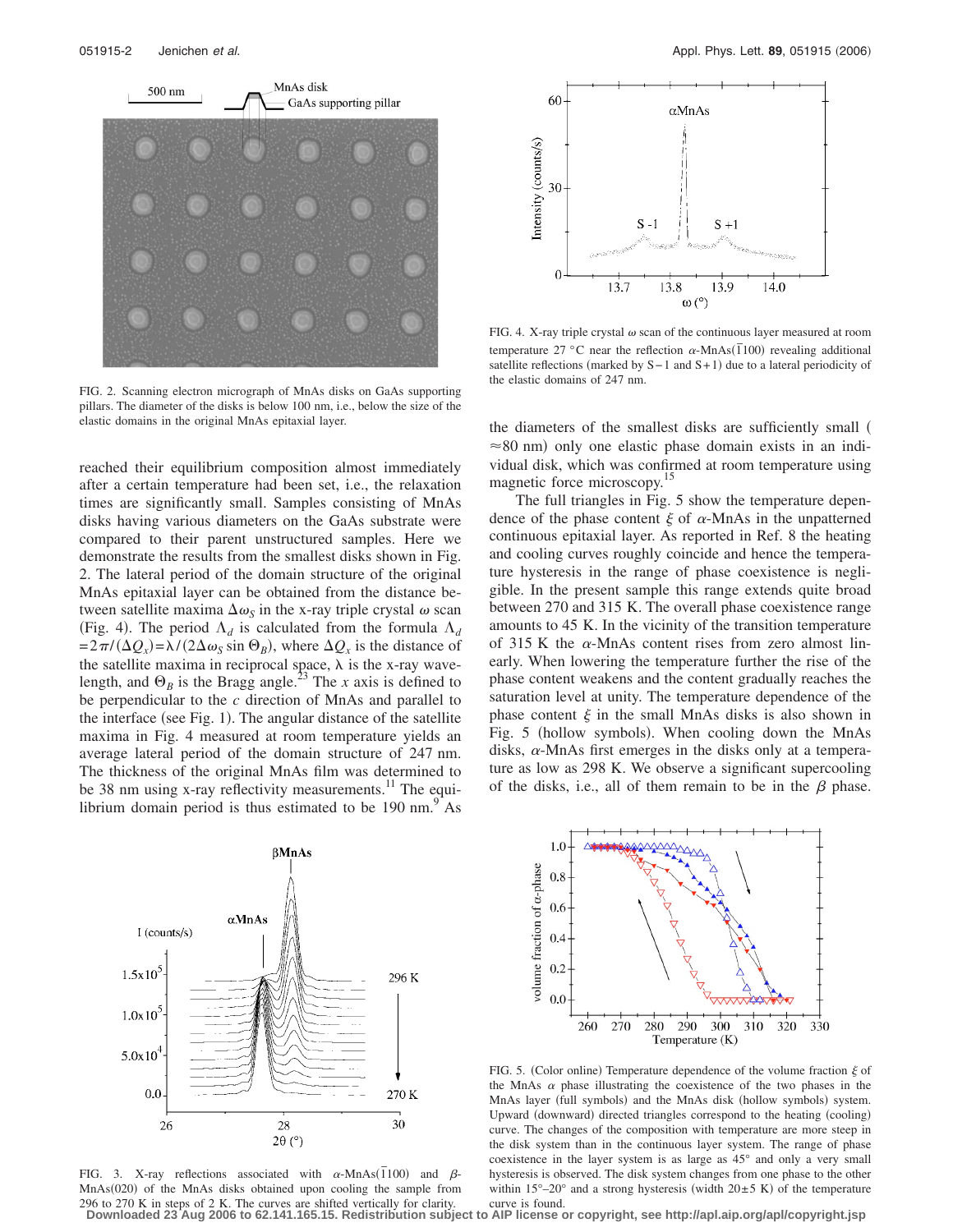

FIG. 2. Scanning electron micrograph of MnAs disks on GaAs supporting pillars. The diameter of the disks is below 100 nm, i.e., below the size of the elastic domains in the original MnAs epitaxial layer.

reached their equilibrium composition almost immediately after a certain temperature had been set, i.e., the relaxation times are significantly small. Samples consisting of MnAs disks having various diameters on the GaAs substrate were compared to their parent unstructured samples. Here we demonstrate the results from the smallest disks shown in Fig. 2. The lateral period of the domain structure of the original MnAs epitaxial layer can be obtained from the distance between satellite maxima  $\Delta \omega_s$  in the x-ray triple crystal  $\omega$  scan (Fig. 4). The period  $\Lambda_d$  is calculated from the formula  $\Lambda_d$  $=2\pi/(\Delta Q_x) = \lambda/(2\Delta \omega_s \sin \Theta_B)$ , where  $\Delta Q_x$  is the distance of the satellite maxima in reciprocal space,  $\lambda$  is the x-ray wavelength, and  $\Theta_B$  is the Bragg angle.<sup>23</sup> The *x* axis is defined to be perpendicular to the *c* direction of MnAs and parallel to the interface (see Fig. 1). The angular distance of the satellite maxima in Fig. 4 measured at room temperature yields an average lateral period of the domain structure of 247 nm. The thickness of the original MnAs film was determined to be 38 nm using x-ray reflectivity measurements.<sup>11</sup> The equilibrium domain period is thus estimated to be  $190 \text{ nm}^9$ .



FIG. 3. X-ray reflections associated with  $\alpha$ -MnAs( $\overline{1}100$ ) and  $\beta$ -MnAs(020) of the MnAs disks obtained upon cooling the sample from 296 to 270 K in steps of 2 K. The curves are shifted vertically for clarity.



FIG. 4. X-ray triple crystal  $\omega$  scan of the continuous layer measured at room temperature  $27^{\circ}$ C near the reflection  $\alpha$ -MnAs( $\overline{1}100$ ) revealing additional satellite reflections (marked by S−1 and S+1) due to a lateral periodicity of the elastic domains of 247 nm.

the diameters of the smallest disks are sufficiently small  $\approx$  80 nm) only one elastic phase domain exists in an individual disk, which was confirmed at room temperature using magnetic force microscopy.<sup>15</sup>

The full triangles in Fig. 5 show the temperature dependence of the phase content  $\xi$  of  $\alpha$ -MnAs in the unpatterned continuous epitaxial layer. As reported in Ref. 8 the heating and cooling curves roughly coincide and hence the temperature hysteresis in the range of phase coexistence is negligible. In the present sample this range extends quite broad between 270 and 315 K. The overall phase coexistence range amounts to 45 K. In the vicinity of the transition temperature of 315 K the  $\alpha$ -MnAs content rises from zero almost linearly. When lowering the temperature further the rise of the phase content weakens and the content gradually reaches the saturation level at unity. The temperature dependence of the phase content  $\xi$  in the small MnAs disks is also shown in Fig. 5 (hollow symbols). When cooling down the MnAs disks,  $\alpha$ -MnAs first emerges in the disks only at a temperature as low as 298 K. We observe a significant supercooling of the disks, i.e., all of them remain to be in the  $\beta$  phase.



FIG. 5. (Color online) Temperature dependence of the volume fraction  $\xi$  of the MnAs  $\alpha$  phase illustrating the coexistence of the two phases in the MnAs layer (full symbols) and the MnAs disk (hollow symbols) system. Upward (downward) directed triangles correspond to the heating (cooling) curve. The changes of the composition with temperature are more steep in the disk system than in the continuous layer system. The range of phase coexistence in the layer system is as large as 45° and only a very small hysteresis is observed. The disk system changes from one phase to the other within  $15^{\circ} - 20^{\circ}$  and a strong hysteresis (width  $20 \pm 5$  K) of the temperature curve is found.

**Downloaded 23 Aug 2006 to 62.141.165.15. Redistribution subject to AIP license or copyright, see http://apl.aip.org/apl/copyright.jsp**